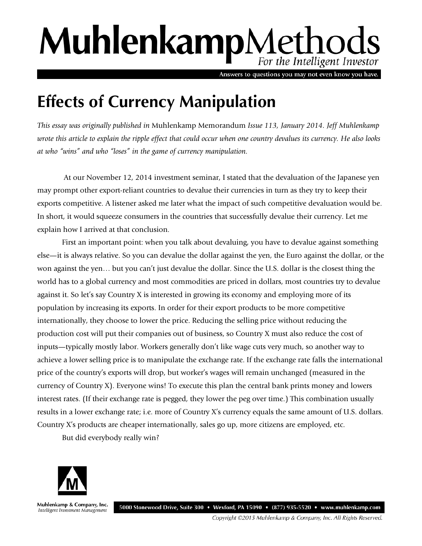## MuhlenkampMethods For the Intelligent Investor

Answers to questions you may not even know you have.

## **Effects of Currency Manipulation**

*This essay was originally published in* Muhlenkamp Memorandum *Issue 113, January 2014. Jeff Muhlenkamp wrote this article to explain the ripple effect that could occur when one country devalues its currency. He also looks at who "wins" and who "loses" in the game of currency manipulation.* 

At our November 12, 2014 investment seminar, I stated that the devaluation of the Japanese yen may prompt other export-reliant countries to devalue their currencies in turn as they try to keep their exports competitive. A listener asked me later what the impact of such competitive devaluation would be. In short, it would squeeze consumers in the countries that successfully devalue their currency. Let me explain how I arrived at that conclusion.

First an important point: when you talk about devaluing, you have to devalue against something else—it is always relative. So you can devalue the dollar against the yen, the Euro against the dollar, or the won against the yen… but you can't just devalue the dollar. Since the U.S. dollar is the closest thing the world has to a global currency and most commodities are priced in dollars, most countries try to devalue against it. So let's say Country X is interested in growing its economy and employing more of its population by increasing its exports. In order for their export products to be more competitive internationally, they choose to lower the price. Reducing the selling price without reducing the production cost will put their companies out of business, so Country X must also reduce the cost of inputs—typically mostly labor. Workers generally don't like wage cuts very much, so another way to achieve a lower selling price is to manipulate the exchange rate. If the exchange rate falls the international price of the country's exports will drop, but worker's wages will remain unchanged (measured in the currency of Country X). Everyone wins! To execute this plan the central bank prints money and lowers interest rates. (If their exchange rate is pegged, they lower the peg over time.) This combination usually results in a lower exchange rate; i.e. more of Country X's currency equals the same amount of U.S. dollars. Country X's products are cheaper internationally, sales go up, more citizens are employed, etc.

But did everybody really win?



Muhlenkamp & Company, Inc. 5000 Stonewood Drive, Suite 300 • Wexford, PA 15090 • (877) 935-5520 • www.muhlenkamp.com Intelligent Investment Management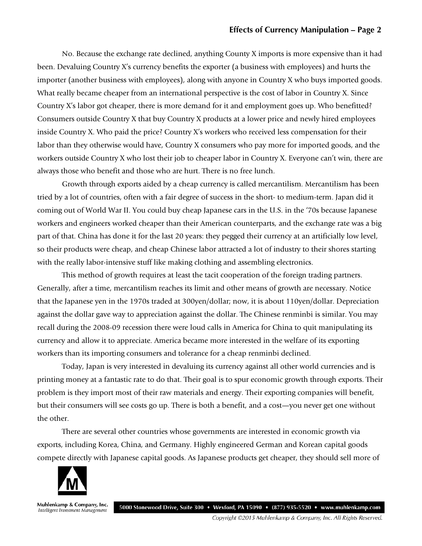No. Because the exchange rate declined, anything County X imports is more expensive than it had been. Devaluing Country X's currency benefits the exporter (a business with employees) and hurts the importer (another business with employees), along with anyone in Country X who buys imported goods. What really became cheaper from an international perspective is the cost of labor in Country X. Since Country X's labor got cheaper, there is more demand for it and employment goes up. Who benefitted? Consumers outside Country X that buy Country X products at a lower price and newly hired employees inside Country X. Who paid the price? Country X's workers who received less compensation for their labor than they otherwise would have, Country X consumers who pay more for imported goods, and the workers outside Country X who lost their job to cheaper labor in Country X. Everyone can't win, there are always those who benefit and those who are hurt. There is no free lunch.

Growth through exports aided by a cheap currency is called mercantilism. Mercantilism has been tried by a lot of countries, often with a fair degree of success in the short- to medium-term. Japan did it coming out of World War II. You could buy cheap Japanese cars in the U.S. in the '70s because Japanese workers and engineers worked cheaper than their American counterparts, and the exchange rate was a big part of that. China has done it for the last 20 years: they pegged their currency at an artificially low level, so their products were cheap, and cheap Chinese labor attracted a lot of industry to their shores starting with the really labor-intensive stuff like making clothing and assembling electronics.

This method of growth requires at least the tacit cooperation of the foreign trading partners. Generally, after a time, mercantilism reaches its limit and other means of growth are necessary. Notice that the Japanese yen in the 1970s traded at 300yen/dollar; now, it is about 110yen/dollar. Depreciation against the dollar gave way to appreciation against the dollar. The Chinese renminbi is similar. You may recall during the 2008-09 recession there were loud calls in America for China to quit manipulating its currency and allow it to appreciate. America became more interested in the welfare of its exporting workers than its importing consumers and tolerance for a cheap renminbi declined.

Today, Japan is very interested in devaluing its currency against all other world currencies and is printing money at a fantastic rate to do that. Their goal is to spur economic growth through exports. Their problem is they import most of their raw materials and energy. Their exporting companies will benefit, but their consumers will see costs go up. There is both a benefit, and a cost—you never get one without the other.

There are several other countries whose governments are interested in economic growth via exports, including Korea, China, and Germany. Highly engineered German and Korean capital goods compete directly with Japanese capital goods. As Japanese products get cheaper, they should sell more of



Muhlenkamp & Company, Inc. Intelligent Investment Management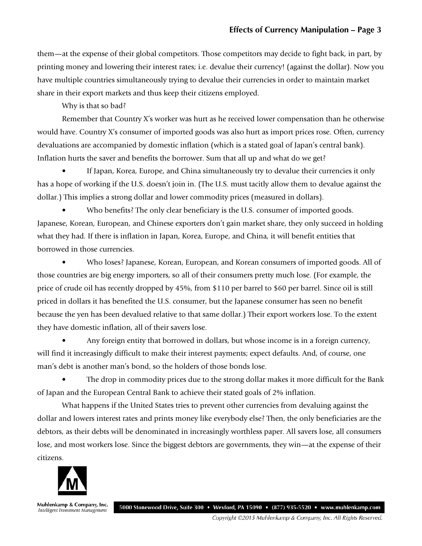them—at the expense of their global competitors. Those competitors may decide to fight back, in part, by printing money and lowering their interest rates; i.e. devalue their currency! (against the dollar). Now you have multiple countries simultaneously trying to devalue their currencies in order to maintain market share in their export markets and thus keep their citizens employed.

Why is that so bad?

Remember that Country X's worker was hurt as he received lower compensation than he otherwise would have. Country X's consumer of imported goods was also hurt as import prices rose. Often, currency devaluations are accompanied by domestic inflation (which is a stated goal of Japan's central bank). Inflation hurts the saver and benefits the borrower. Sum that all up and what do we get?

If Japan, Korea, Europe, and China simultaneously try to devalue their currencies it only has a hope of working if the U.S. doesn't join in. (The U.S. must tacitly allow them to devalue against the dollar.) This implies a strong dollar and lower commodity prices (measured in dollars).

• Who benefits? The only clear beneficiary is the U.S. consumer of imported goods. Japanese, Korean, European, and Chinese exporters don't gain market share, they only succeed in holding what they had. If there is inflation in Japan, Korea, Europe, and China, it will benefit entities that borrowed in those currencies.

• Who loses? Japanese, Korean, European, and Korean consumers of imported goods. All of those countries are big energy importers, so all of their consumers pretty much lose. (For example, the price of crude oil has recently dropped by 45%, from \$110 per barrel to \$60 per barrel. Since oil is still priced in dollars it has benefited the U.S. consumer, but the Japanese consumer has seen no benefit because the yen has been devalued relative to that same dollar.) Their export workers lose. To the extent they have domestic inflation, all of their savers lose.

• Any foreign entity that borrowed in dollars, but whose income is in a foreign currency, will find it increasingly difficult to make their interest payments; expect defaults. And, of course, one man's debt is another man's bond, so the holders of those bonds lose.

• The drop in commodity prices due to the strong dollar makes it more difficult for the Bank of Japan and the European Central Bank to achieve their stated goals of 2% inflation.

What happens if the United States tries to prevent other currencies from devaluing against the dollar and lowers interest rates and prints money like everybody else? Then, the only beneficiaries are the debtors, as their debts will be denominated in increasingly worthless paper. All savers lose, all consumers lose, and most workers lose. Since the biggest debtors are governments, they win—at the expense of their citizens.



Muhlenkamp & Company, Inc. Intelligent Investment Management

5000 Stonewood Drive, Suite 300 • Wexford, PA 15090 • (877) 935-5520 • www.muhlenkamp.com

Copyright ©2015 Muhlenkamp & Company, Inc. All Rights Reserved.